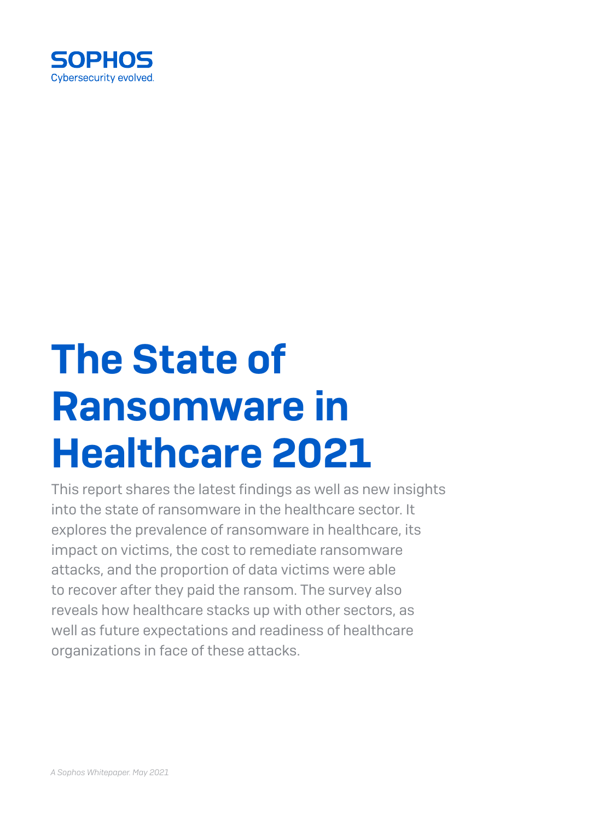

# The State of Ransomware in Healthcare 2021

This report shares the latest findings as well as new insights into the state of ransomware in the healthcare sector. It explores the prevalence of ransomware in healthcare, its impact on victims, the cost to remediate ransomware attacks, and the proportion of data victims were able to recover after they paid the ransom. The survey also reveals how healthcare stacks up with other sectors, as well as future expectations and readiness of healthcare organizations in face of these attacks.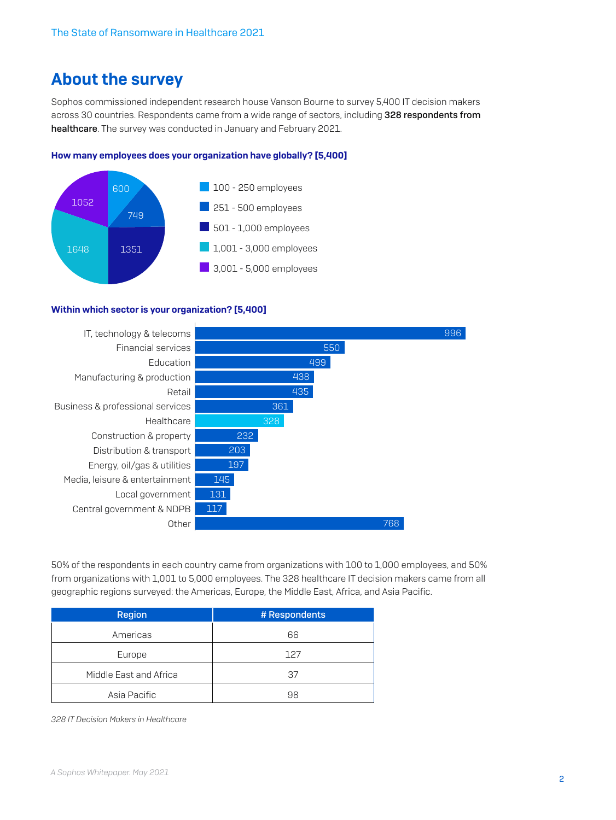# About the survey

Sophos commissioned independent research house Vanson Bourne to survey 5,400 IT decision makers across 30 countries. Respondents came from a wide range of sectors, including 328 respondents from healthcare. The survey was conducted in January and February 2021.

#### How many employees does your organization have globally? [5,400]



#### Within which sector is your organization? [5,400]



50% of the respondents in each country came from organizations with 100 to 1,000 employees, and 50% from organizations with 1,001 to 5,000 employees. The 328 healthcare IT decision makers came from all geographic regions surveyed: the Americas, Europe, the Middle East, Africa, and Asia Pacific.

| <b>Region</b>          | # Respondents |
|------------------------|---------------|
| Americas               | 66            |
| Europe                 | 127           |
| Middle East and Africa | 37            |
| Asia Pacific           | 98            |

*328 IT Decision Makers in Healthcare*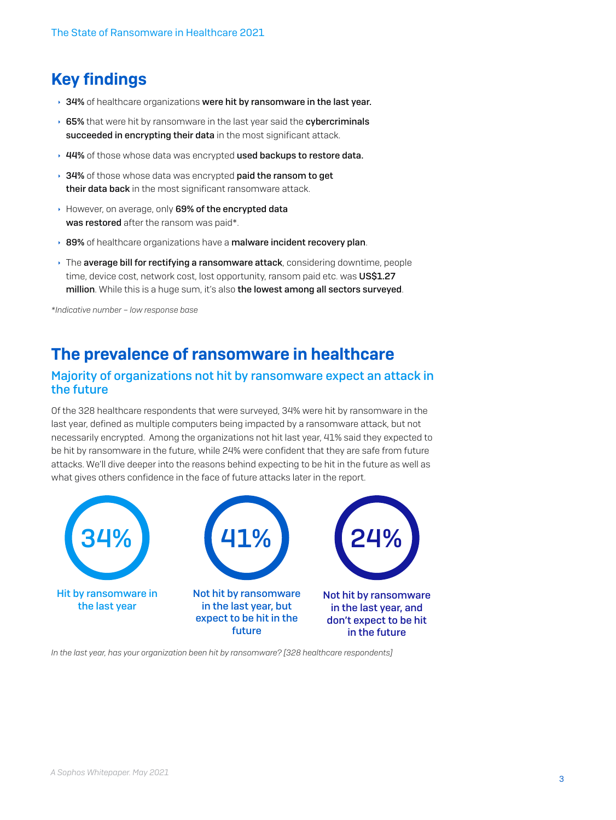# Key findings

- $\rightarrow$  34% of healthcare organizations were hit by ransomware in the last year.
- ▸ 65% that were hit by ransomware in the last year said the cybercriminals succeeded in encrypting their data in the most significant attack.
- ▸ 44% of those whose data was encrypted used backups to restore data.
- $\rightarrow$  34% of those whose data was encrypted paid the ransom to get their data back in the most significant ransomware attack.
- However, on average, only 69% of the encrypted data was restored after the ransom was paid\*.
- ▶ 89% of healthcare organizations have a malware incident recovery plan.
- $\rightarrow$  The average bill for rectifying a ransomware attack, considering downtime, people time, device cost, network cost, lost opportunity, ransom paid etc. was US\$1.27 million. While this is a huge sum, it's also the lowest among all sectors surveyed.

*\*Indicative number – low response base*

## The prevalence of ransomware in healthcare

#### Majority of organizations not hit by ransomware expect an attack in the future

Of the 328 healthcare respondents that were surveyed, 34% were hit by ransomware in the last year, defined as multiple computers being impacted by a ransomware attack, but not necessarily encrypted. Among the organizations not hit last year, 41% said they expected to be hit by ransomware in the future, while 24% were confident that they are safe from future attacks. We'll dive deeper into the reasons behind expecting to be hit in the future as well as what gives others confidence in the face of future attacks later in the report.



*In the last year, has your organization been hit by ransomware? [328 healthcare respondents]*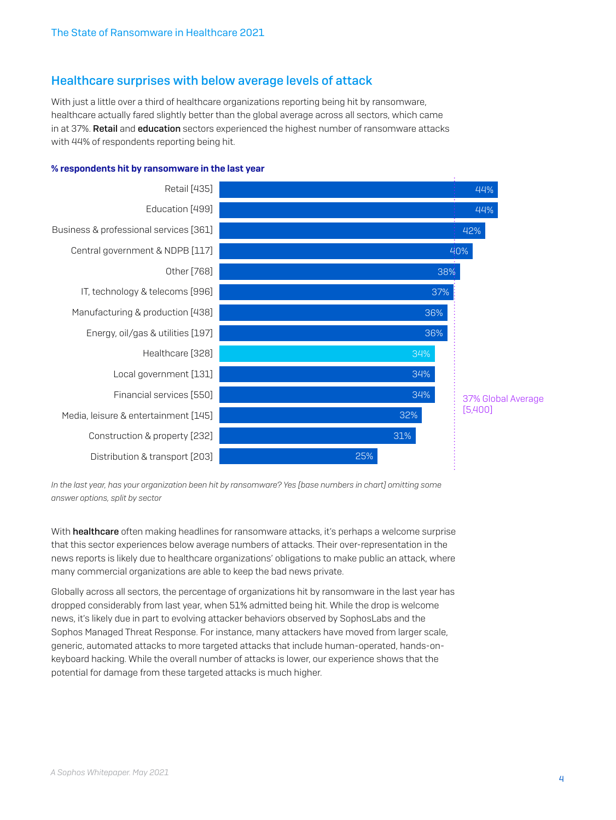#### Healthcare surprises with below average levels of attack

With just a little over a third of healthcare organizations reporting being hit by ransomware, healthcare actually fared slightly better than the global average across all sectors, which came in at 37%. Retail and education sectors experienced the highest number of ransomware attacks with 44% of respondents reporting being hit.



#### % respondents hit by ransomware in the last year

*In the last year, has your organization been hit by ransomware? Yes [base numbers in chart] omitting some answer options, split by sector*

With **healthcare** often making headlines for ransomware attacks, it's perhaps a welcome surprise that this sector experiences below average numbers of attacks. Their over-representation in the news reports is likely due to healthcare organizations' obligations to make public an attack, where many commercial organizations are able to keep the bad news private.

Globally across all sectors, the percentage of organizations hit by ransomware in the last year has dropped considerably from last year, when 51% admitted being hit. While the drop is welcome news, it's likely due in part to evolving attacker behaviors observed by SophosLabs and the Sophos Managed Threat Response. For instance, many attackers have moved from larger scale, generic, automated attacks to more targeted attacks that include human-operated, hands-onkeyboard hacking. While the overall number of attacks is lower, our experience shows that the potential for damage from these targeted attacks is much higher.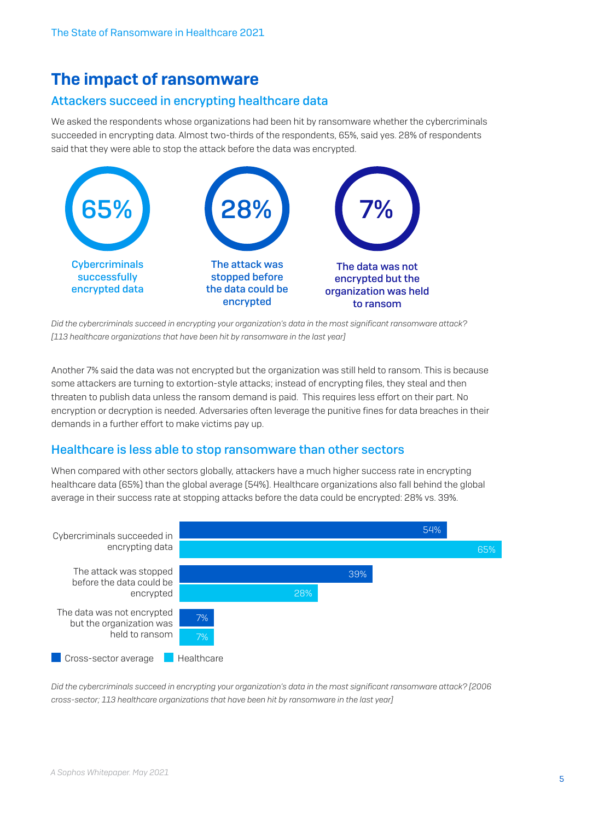# The impact of ransomware

## Attackers succeed in encrypting healthcare data

We asked the respondents whose organizations had been hit by ransomware whether the cybercriminals succeeded in encrypting data. Almost two-thirds of the respondents, 65%, said yes. 28% of respondents said that they were able to stop the attack before the data was encrypted.



*Did the cybercriminals succeed in encrypting your organization's data in the most significant ransomware attack?*  [113 healthcare organizations that have been hit by ransomware in the last year]

Another 7% said the data was not encrypted but the organization was still held to ransom. This is because some attackers are turning to extortion-style attacks; instead of encrypting files, they steal and then threaten to publish data unless the ransom demand is paid. This requires less effort on their part. No encryption or decryption is needed. Adversaries often leverage the punitive fines for data breaches in their demands in a further effort to make victims pay up.

## Healthcare is less able to stop ransomware than other sectors

When compared with other sectors globally, attackers have a much higher success rate in encrypting healthcare data (65%) than the global average (54%). Healthcare organizations also fall behind the global average in their success rate at stopping attacks before the data could be encrypted: 28% vs. 39%.



*Did the cybercriminals succeed in encrypting your organization's data in the most significant ransomware attack? [2006 cross-sector; 113 healthcare organizations that have been hit by ransomware in the last year]*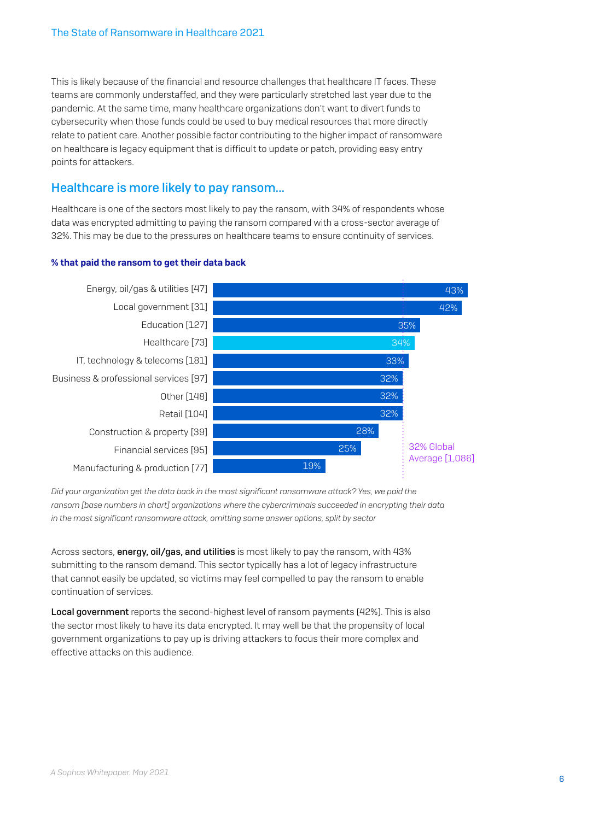This is likely because of the financial and resource challenges that healthcare IT faces. These teams are commonly understaffed, and they were particularly stretched last year due to the pandemic. At the same time, many healthcare organizations don't want to divert funds to cybersecurity when those funds could be used to buy medical resources that more directly relate to patient care. Another possible factor contributing to the higher impact of ransomware on healthcare is legacy equipment that is difficult to update or patch, providing easy entry points for attackers.

#### Healthcare is more likely to pay ransom…

Healthcare is one of the sectors most likely to pay the ransom, with 34% of respondents whose data was encrypted admitting to paying the ransom compared with a cross-sector average of 32%. This may be due to the pressures on healthcare teams to ensure continuity of services.



#### % that paid the ransom to get their data back

*Did your organization get the data back in the most significant ransomware attack? Yes, we paid the ransom [base numbers in chart] organizations where the cybercriminals succeeded in encrypting their data in the most significant ransomware attack, omitting some answer options, split by sector*

Across sectors, **energy, oil/gas, and utilities** is most likely to pay the ransom, with 43% submitting to the ransom demand. This sector typically has a lot of legacy infrastructure that cannot easily be updated, so victims may feel compelled to pay the ransom to enable continuation of services.

Local government reports the second-highest level of ransom payments (42%). This is also the sector most likely to have its data encrypted. It may well be that the propensity of local government organizations to pay up is driving attackers to focus their more complex and effective attacks on this audience.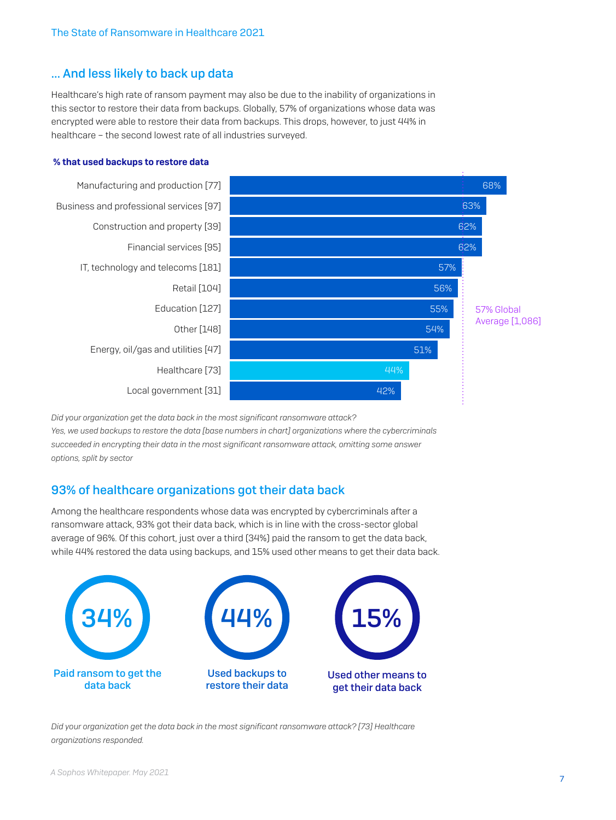## … And less likely to back up data

Healthcare's high rate of ransom payment may also be due to the inability of organizations in this sector to restore their data from backups. Globally, 57% of organizations whose data was encrypted were able to restore their data from backups. This drops, however, to just 44% in healthcare – the second lowest rate of all industries surveyed.

#### % that used backups to restore data



*Did your organization get the data back in the most significant ransomware attack? Yes, we used backups to restore the data [base numbers in chart] organizations where the cybercriminals succeeded in encrypting their data in the most significant ransomware attack, omitting some answer options, split by sector*

## 93% of healthcare organizations got their data back

Among the healthcare respondents whose data was encrypted by cybercriminals after a ransomware attack, 93% got their data back, which is in line with the cross-sector global average of 96%. Of this cohort, just over a third (34%) paid the ransom to get the data back, while 44% restored the data using backups, and 15% used other means to get their data back.



*Did your organization get the data back in the most significant ransomware attack? [73] Healthcare organizations responded.*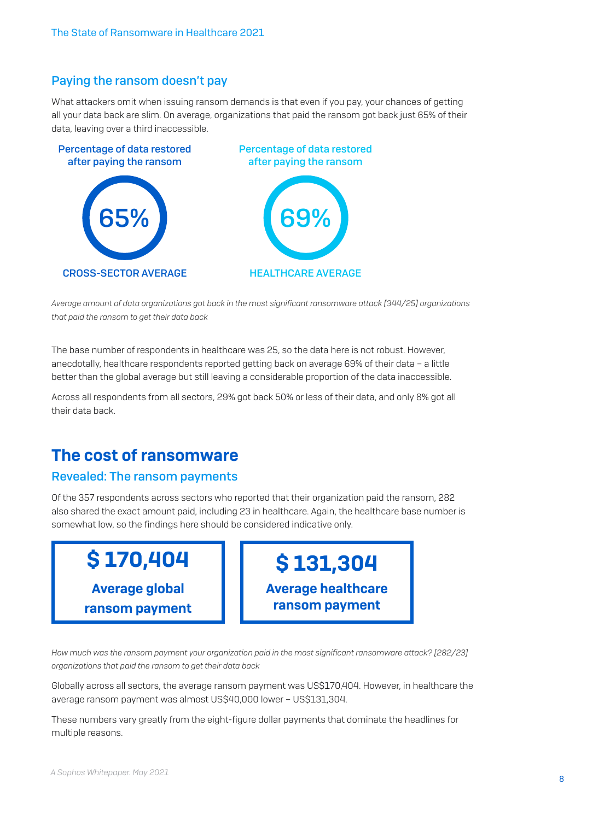### Paying the ransom doesn't pay

What attackers omit when issuing ransom demands is that even if you pay, your chances of getting all your data back are slim. On average, organizations that paid the ransom got back just 65% of their data, leaving over a third inaccessible.



*Average amount of data organizations got back in the most significant ransomware attack [344/25] organizations that paid the ransom to get their data back*

The base number of respondents in healthcare was 25, so the data here is not robust. However, anecdotally, healthcare respondents reported getting back on average 69% of their data – a little better than the global average but still leaving a considerable proportion of the data inaccessible.

Across all respondents from all sectors, 29% got back 50% or less of their data, and only 8% got all their data back.

# The cost of ransomware

#### Revealed: The ransom payments

Of the 357 respondents across sectors who reported that their organization paid the ransom, 282 also shared the exact amount paid, including 23 in healthcare. Again, the healthcare base number is somewhat low, so the findings here should be considered indicative only.



*How much was the ransom payment your organization paid in the most significant ransomware attack? [282/23] organizations that paid the ransom to get their data back*

Globally across all sectors, the average ransom payment was US\$170,404. However, in healthcare the average ransom payment was almost US\$40,000 lower – US\$131,304.

These numbers vary greatly from the eight-figure dollar payments that dominate the headlines for multiple reasons.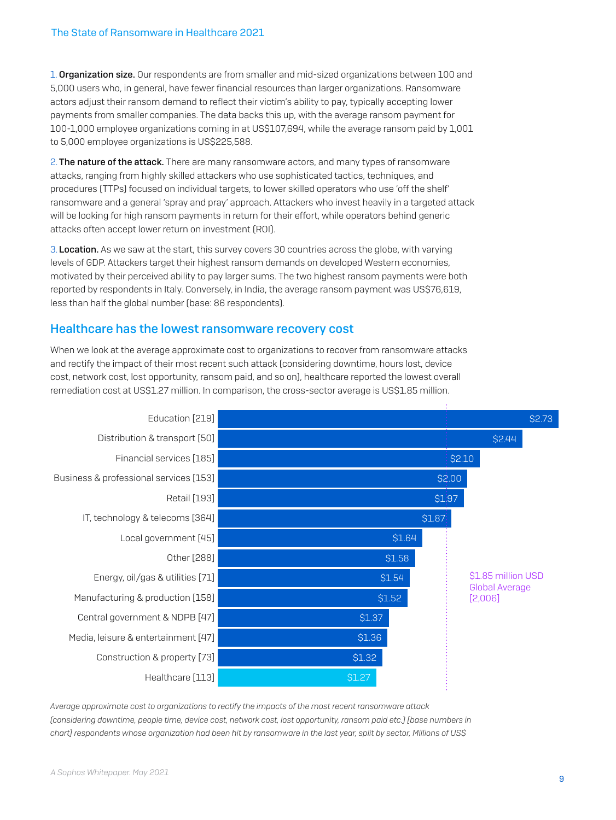1. Organization size. Our respondents are from smaller and mid-sized organizations between 100 and 5,000 users who, in general, have fewer financial resources than larger organizations. Ransomware actors adjust their ransom demand to reflect their victim's ability to pay, typically accepting lower payments from smaller companies. The data backs this up, with the average ransom payment for 100-1,000 employee organizations coming in at US\$107,694, while the average ransom paid by 1,001 to 5,000 employee organizations is US\$225,588.

2. The nature of the attack. There are many ransomware actors, and many types of ransomware attacks, ranging from highly skilled attackers who use sophisticated tactics, techniques, and procedures (TTPs) focused on individual targets, to lower skilled operators who use 'off the shelf' ransomware and a general 'spray and pray' approach. Attackers who invest heavily in a targeted attack will be looking for high ransom payments in return for their effort, while operators behind generic attacks often accept lower return on investment (ROI).

3. Location. As we saw at the start, this survey covers 30 countries across the globe, with varying levels of GDP. Attackers target their highest ransom demands on developed Western economies, motivated by their perceived ability to pay larger sums. The two highest ransom payments were both reported by respondents in Italy. Conversely, in India, the average ransom payment was US\$76,619, less than half the global number (base: 86 respondents).

#### Healthcare has the lowest ransomware recovery cost

When we look at the average approximate cost to organizations to recover from ransomware attacks and rectify the impact of their most recent such attack (considering downtime, hours lost, device cost, network cost, lost opportunity, ransom paid, and so on), healthcare reported the lowest overall remediation cost at US\$1.27 million. In comparison, the cross-sector average is US\$1.85 million.



*Average approximate cost to organizations to rectify the impacts of the most recent ransomware attack (considering downtime, people time, device cost, network cost, lost opportunity, ransom paid etc.) [base numbers in chart] respondents whose organization had been hit by ransomware in the last year, split by sector, Millions of US\$*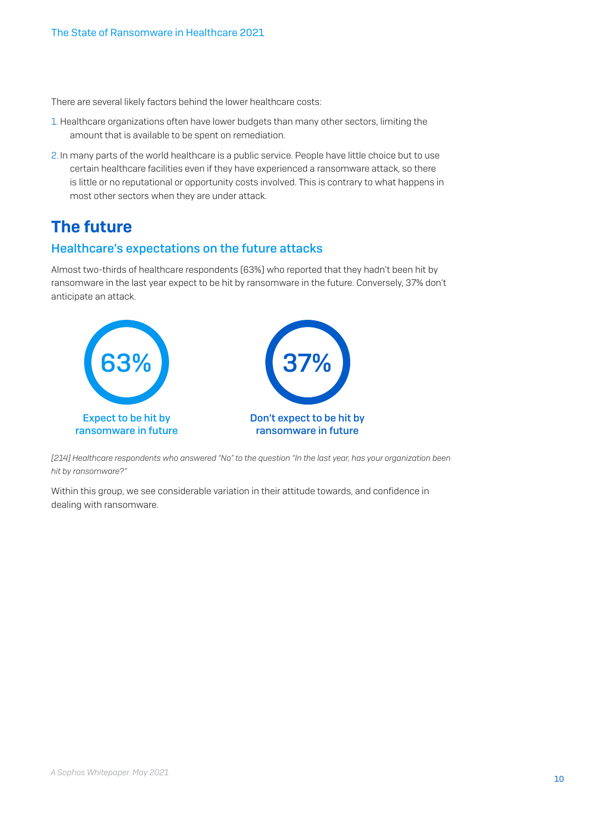There are several likely factors behind the lower healthcare costs:

- 1.Healthcare organizations often have lower budgets than many other sectors, limiting the amount that is available to be spent on remediation.
- 2. In many parts of the world healthcare is a public service. People have little choice but to use certain healthcare facilities even if they have experienced a ransomware attack, so there is little or no reputational or opportunity costs involved. This is contrary to what happens in most other sectors when they are under attack.

# The future

## Healthcare's expectations on the future attacks

Almost two-thirds of healthcare respondents (63%) who reported that they hadn't been hit by ransomware in the last year expect to be hit by ransomware in the future. Conversely, 37% don't anticipate an attack.



*[214] Healthcare respondents who answered "No" to the question "In the last year, has your organization been hit by ransomware?"* 

Within this group, we see considerable variation in their attitude towards, and confidence in dealing with ransomware.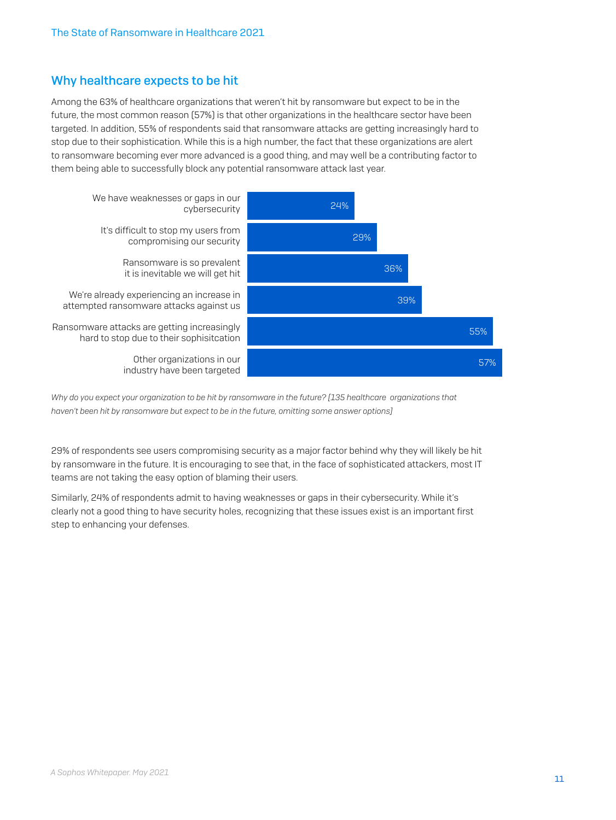## Why healthcare expects to be hit

Among the 63% of healthcare organizations that weren't hit by ransomware but expect to be in the future, the most common reason (57%) is that other organizations in the healthcare sector have been targeted. In addition, 55% of respondents said that ransomware attacks are getting increasingly hard to stop due to their sophistication. While this is a high number, the fact that these organizations are alert to ransomware becoming ever more advanced is a good thing, and may well be a contributing factor to them being able to successfully block any potential ransomware attack last year.



*Why do you expect your organization to be hit by ransomware in the future? [135 healthcare organizations that haven't been hit by ransomware but expect to be in the future, omitting some answer options]*

29% of respondents see users compromising security as a major factor behind why they will likely be hit by ransomware in the future. It is encouraging to see that, in the face of sophisticated attackers, most IT teams are not taking the easy option of blaming their users.

Similarly, 24% of respondents admit to having weaknesses or gaps in their cybersecurity. While it's clearly not a good thing to have security holes, recognizing that these issues exist is an important first step to enhancing your defenses.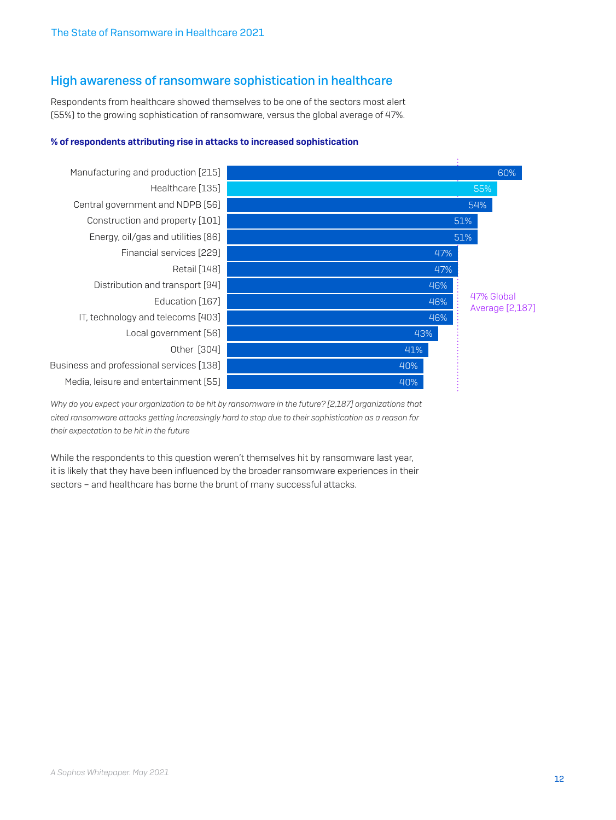#### High awareness of ransomware sophistication in healthcare

Respondents from healthcare showed themselves to be one of the sectors most alert (55%) to the growing sophistication of ransomware, versus the global average of 47%.

#### % of respondents attributing rise in attacks to increased sophistication



*Why do you expect your organization to be hit by ransomware in the future? [2,187] organizations that cited ransomware attacks getting increasingly hard to stop due to their sophistication as a reason for their expectation to be hit in the future*

While the respondents to this question weren't themselves hit by ransomware last year, it is likely that they have been influenced by the broader ransomware experiences in their sectors – and healthcare has borne the brunt of many successful attacks.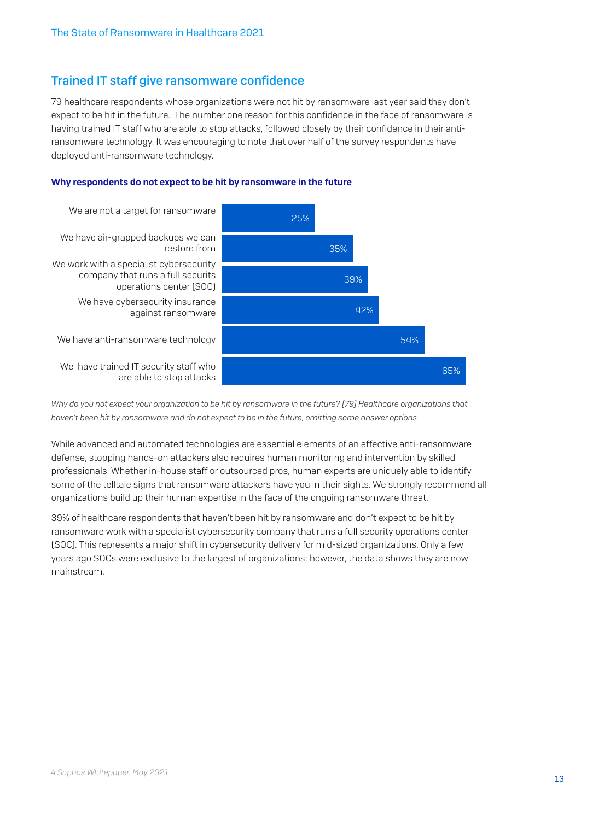## Trained IT staff give ransomware confidence

79 healthcare respondents whose organizations were not hit by ransomware last year said they don't expect to be hit in the future. The number one reason for this confidence in the face of ransomware is having trained IT staff who are able to stop attacks, followed closely by their confidence in their antiransomware technology. It was encouraging to note that over half of the survey respondents have deployed anti-ransomware technology.



#### Why respondents do not expect to be hit by ransomware in the future

*Why do you not expect your organization to be hit by ransomware in the future? [79] Healthcare organizations that haven't been hit by ransomware and do not expect to be in the future, omitting some answer options*

While advanced and automated technologies are essential elements of an effective anti-ransomware defense, stopping hands-on attackers also requires human monitoring and intervention by skilled professionals. Whether in-house staff or outsourced pros, human experts are uniquely able to identify some of the telltale signs that ransomware attackers have you in their sights. We strongly recommend all organizations build up their human expertise in the face of the ongoing ransomware threat.

39% of healthcare respondents that haven't been hit by ransomware and don't expect to be hit by ransomware work with a specialist cybersecurity company that runs a full security operations center (SOC). This represents a major shift in cybersecurity delivery for mid-sized organizations. Only a few years ago SOCs were exclusive to the largest of organizations; however, the data shows they are now mainstream.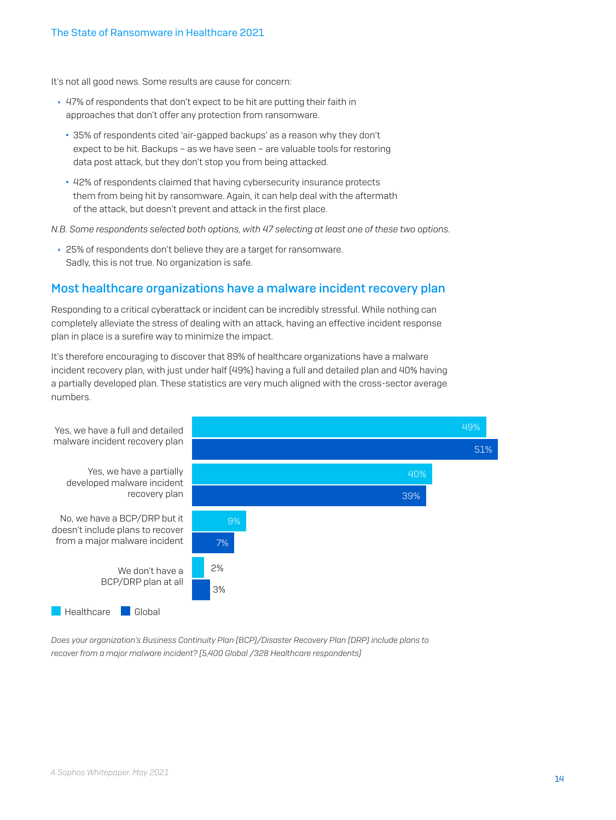It's not all good news. Some results are cause for concern:

- $\cdot$  47% of respondents that don't expect to be hit are putting their faith in approaches that don't offer any protection from ransomware.
	- 35% of respondents cited 'air-gapped backups' as a reason why they don't expect to be hit. Backups – as we have seen – are valuable tools for restoring data post attack, but they don't stop you from being attacked.
	- 42% of respondents claimed that having cybersecurity insurance protects them from being hit by ransomware. Again, it can help deal with the aftermath of the attack, but doesn't prevent and attack in the first place.

*N.B. Some respondents selected both options, with 47 selecting at least one of these two options.*

▸ 25% of respondents don't believe they are a target for ransomware. Sadly, this is not true. No organization is safe.

#### Most healthcare organizations have a malware incident recovery plan

Responding to a critical cyberattack or incident can be incredibly stressful. While nothing can completely alleviate the stress of dealing with an attack, having an effective incident response plan in place is a surefire way to minimize the impact.

It's therefore encouraging to discover that 89% of healthcare organizations have a malware incident recovery plan, with just under half (49%) having a full and detailed plan and 40% having a partially developed plan. These statistics are very much aligned with the cross-sector average numbers.



*Does your organization's Business Continuity Plan (BCP)/Disaster Recovery Plan (DRP) include plans to recover from a major malware incident? [5,400 Global /328 Healthcare respondents]*

<sup>14</sup> *A Sophos Whitepaper. May 2021*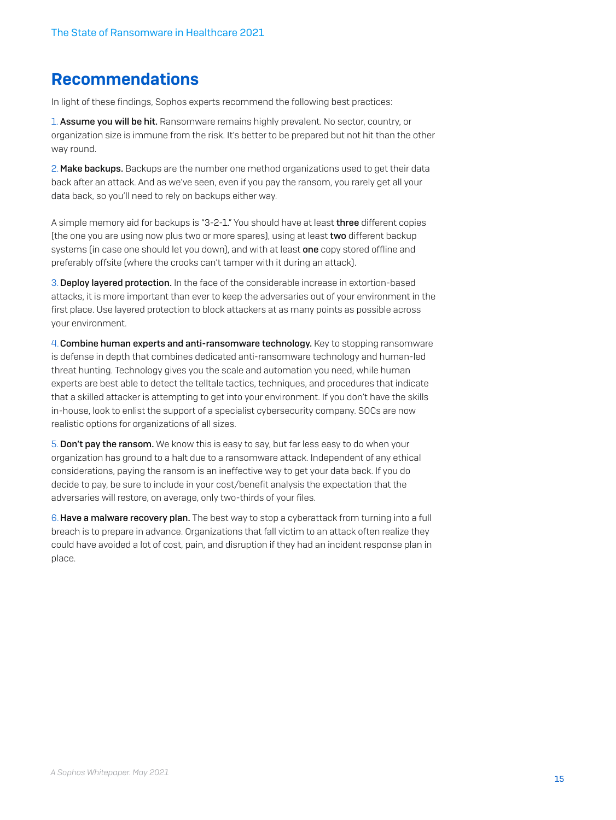# Recommendations

In light of these findings, Sophos experts recommend the following best practices:

1. Assume you will be hit. Ransomware remains highly prevalent. No sector, country, or organization size is immune from the risk. It's better to be prepared but not hit than the other way round.

2. Make backups. Backups are the number one method organizations used to get their data back after an attack. And as we've seen, even if you pay the ransom, you rarely get all your data back, so you'll need to rely on backups either way.

A simple memory aid for backups is "3-2-1." You should have at least three different copies (the one you are using now plus two or more spares), using at least two different backup systems (in case one should let you down), and with at least one copy stored offline and preferably offsite (where the crooks can't tamper with it during an attack).

3.Deploy layered protection. In the face of the considerable increase in extortion-based attacks, it is more important than ever to keep the adversaries out of your environment in the first place. Use layered protection to block attackers at as many points as possible across your environment.

4.Combine human experts and anti-ransomware technology. Key to stopping ransomware is defense in depth that combines dedicated anti-ransomware technology and human-led threat hunting. Technology gives you the scale and automation you need, while human experts are best able to detect the telltale tactics, techniques, and procedures that indicate that a skilled attacker is attempting to get into your environment. If you don't have the skills in-house, look to enlist the support of a specialist cybersecurity company. SOCs are now realistic options for organizations of all sizes.

5.Don't pay the ransom. We know this is easy to say, but far less easy to do when your organization has ground to a halt due to a ransomware attack. Independent of any ethical considerations, paying the ransom is an ineffective way to get your data back. If you do decide to pay, be sure to include in your cost/benefit analysis the expectation that the adversaries will restore, on average, only two-thirds of your files.

6.Have a malware recovery plan. The best way to stop a cyberattack from turning into a full breach is to prepare in advance. Organizations that fall victim to an attack often realize they could have avoided a lot of cost, pain, and disruption if they had an incident response plan in place.